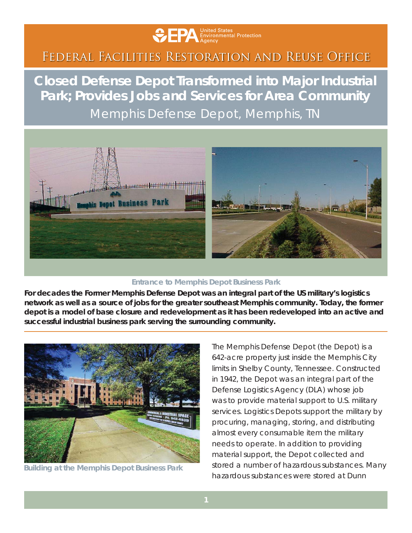

## Federal Facilities Restoration and Reuse Office

**Closed Defense Depot Transformed into Major Industrial Park; Provides Jobs and Services for Area Community** Memphis Defense Depot, Memphis, TN



## **Entrance to Memphis Depot Business Park**

*For decades the Former Memphis Defense Depot was an integral part of the US military's logistics network as well as a source of jobs for the greater southeast Memphis community. Today, the former depot is a model of base closure and redevelopment as it has been redeveloped into an active and successful industrial business park serving the surrounding community.*



**Building at the Memphis Depot Business Park**

The Memphis Defense Depot (the Depot) is a 642-acre property just inside the Memphis City limits in Shelby County, Tennessee. Constructed in 1942, the Depot was an integral part of the Defense Logistics Agency (DLA) whose job was to provide material support to U.S. military services. Logistics Depots support the military by procuring, managing, storing, and distributing almost every consumable item the military needs to operate. In addition to providing material support, the Depot collected and stored a number of hazardous substances. Many hazardous substances were stored at Dunn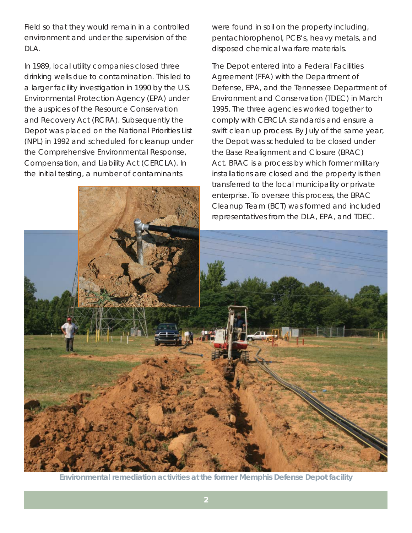Field so that they would remain in a controlled environment and under the supervision of the DLA.

In 1989, local utility companies closed three drinking wells due to contamination. This led to a larger facility investigation in 1990 by the U.S. Environmental Protection Agency (EPA) under the auspices of the Resource Conservation and Recovery Act (RCRA). Subsequently the Depot was placed on the National Priorities List (NPL) in 1992 and scheduled for cleanup under the Comprehensive Environmental Response, Compensation, and Liability Act (CERCLA). In the initial testing, a number of contaminants

were found in soil on the property including, pentachlorophenol, PCB's, heavy metals, and disposed chemical warfare materials.

The Depot entered into a Federal Facilities Agreement (FFA) with the Department of Defense, EPA, and the Tennessee Department of Environment and Conservation (TDEC) in March 1995. The three agencies worked together to comply with CERCLA standards and ensure a swift clean up process. By July of the same year, the Depot was scheduled to be closed under the Base Realignment and Closure (BRAC) Act. BRAC is a process by which former military installations are closed and the property is then transferred to the local municipality or private enterprise. To oversee this process, the BRAC Cleanup Team (BCT) was formed and included



**Environmental remediation activities at the former Memphis Defense Depot facility**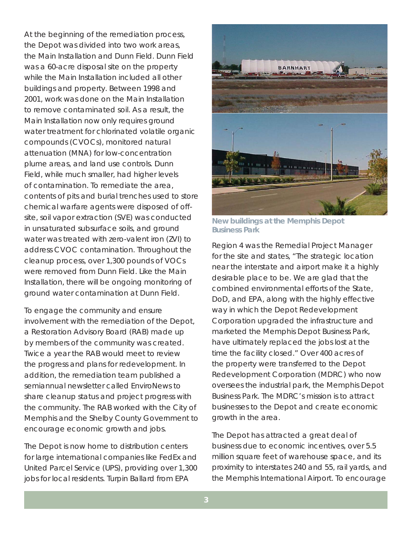At the beginning of the remediation process, the Depot was divided into two work areas, the Main Installation and Dunn Field. Dunn Field was a 60-acre disposal site on the property while the Main Installation included all other buildings and property. Between 1998 and 2001, work was done on the Main Installation to remove contaminated soil. As a result, the Main Installation now only requires ground water treatment for chlorinated volatile organic compounds (CVOCs), monitored natural attenuation (MNA) for low-concentration plume areas, and land use controls. Dunn Field, while much smaller, had higher levels of contamination. To remediate the area, contents of pits and burial trenches used to store chemical warfare agents were disposed of offsite, soil vapor extraction (SVE) was conducted in unsaturated subsurface soils, and ground water was treated with zero-valent iron (ZVI) to address CVOC contamination. Throughout the cleanup process, over 1,300 pounds of VOCs were removed from Dunn Field. Like the Main Installation, there will be ongoing monitoring of ground water contamination at Dunn Field.

To engage the community and ensure involvement with the remediation of the Depot, a Restoration Advisory Board (RAB) made up by members of the community was created. Twice a year the RAB would meet to review the progress and plans for redevelopment. In addition, the remediation team published a semiannual newsletter called EnviroNews to share cleanup status and project progress with the community. The RAB worked with the City of Memphis and the Shelby County Government to encourage economic growth and jobs.

The Depot is now home to distribution centers for large international companies like FedEx and United Parcel Service (UPS), providing over 1,300 jobs for local residents. Turpin Ballard from EPA



**New buildings at the Memphis Depot Business Park**

Region 4 was the Remedial Project Manager for the site and states, "The strategic location near the interstate and airport make it a highly desirable place to be. We are glad that the combined environmental efforts of the State, DoD, and EPA, along with the highly effective way in which the Depot Redevelopment Corporation upgraded the infrastructure and marketed the Memphis Depot Business Park, have ultimately replaced the jobs lost at the time the facility closed." Over 400 acres of the property were transferred to the Depot Redevelopment Corporation (MDRC) who now oversees the industrial park, the Memphis Depot Business Park. The MDRC's mission is to attract businesses to the Depot and create economic growth in the area.

The Depot has attracted a great deal of business due to economic incentives, over 5.5 million square feet of warehouse space, and its proximity to interstates 240 and 55, rail yards, and the Memphis International Airport. To encourage